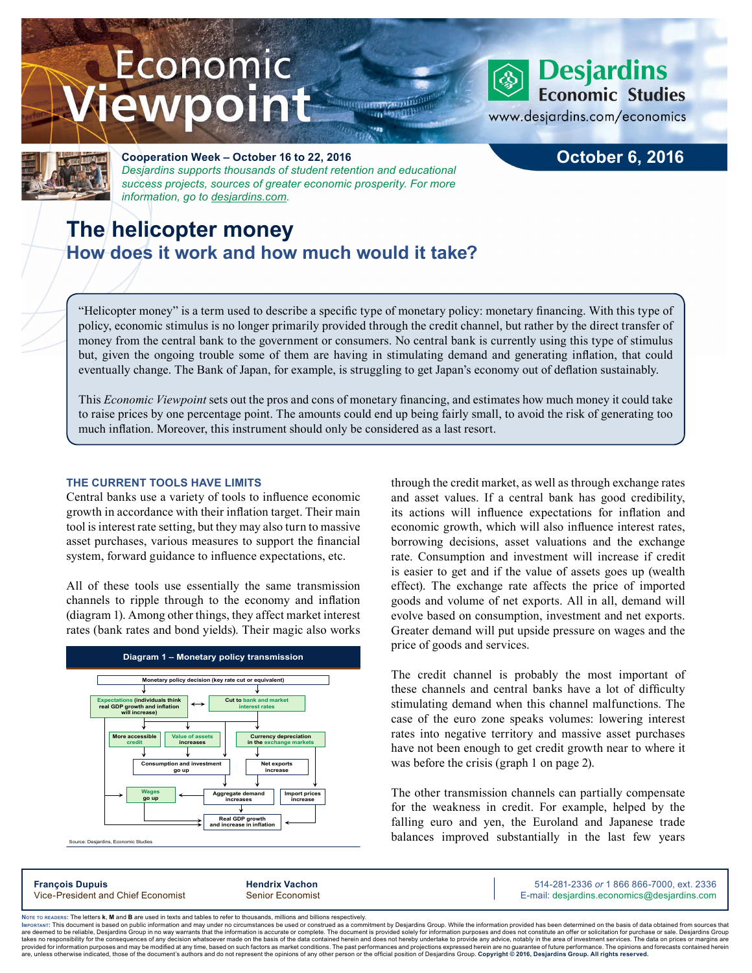# Economic ewpoint



## **Desjardins Economic Studies**

www.desjardins.com/economics



#### **Cooperation Week – October 16 to 22, 2016** *Desjardins supports thousands of student retention and educational success projects, sources of greater economic prosperity. For more information, go to [desjardins.com](https://www.desjardins.com/ca/co-opme/desjardins-difference/co-op-week/index.jsp).*

## **The helicopter money How does it work and how much would it take?**

**October 6, 2016**

"Helicopter money" is a term used to describe a specific type of monetary policy: monetary financing. With this type of policy, economic stimulus is no longer primarily provided through the credit channel, but rather by the direct transfer of money from the central bank to the government or consumers. No central bank is currently using this type of stimulus but, given the ongoing trouble some of them are having in stimulating demand and generating inflation, that could eventually change. The Bank of Japan, for example, is struggling to get Japan's economy out of deflation sustainably.

 $111$ 

This *Economic Viewpoint* sets out the pros and cons of monetary financing, and estimates how much money it could take to raise prices by one percentage point. The amounts could end up being fairly small, to avoid the risk of generating too much inflation. Moreover, this instrument should only be considered as a last resort.

#### **THE CURRENT TOOLS HAVE LIMITS**

Central banks use a variety of tools to influence economic growth in accordance with their inflation target. Their main tool is interest rate setting, but they may also turn to massive asset purchases, various measures to support the financial system, forward guidance to influence expectations, etc.

All of these tools use essentially the same transmission channels to ripple through to the economy and inflation (diagram 1). Among other things, they affect market interest rates (bank rates and bond yields). Their magic also works



Source: Desjardins, Economic Studies

through the credit market, as well as through exchange rates and asset values. If a central bank has good credibility, its actions will influence expectations for inflation and economic growth, which will also influence interest rates, borrowing decisions, asset valuations and the exchange rate. Consumption and investment will increase if credit is easier to get and if the value of assets goes up (wealth effect). The exchange rate affects the price of imported goods and volume of net exports. All in all, demand will evolve based on consumption, investment and net exports. Greater demand will put upside pressure on wages and the price of goods and services.

The credit channel is probably the most important of these channels and central banks have a lot of difficulty stimulating demand when this channel malfunctions. The case of the euro zone speaks volumes: lowering interest rates into negative territory and massive asset purchases have not been enough to get credit growth near to where it was before the crisis (graph 1 on page 2).

The other transmission channels can partially compensate for the weakness in credit. For example, helped by the falling euro and yen, the Euroland and Japanese trade balances improved substantially in the last few years

**François Dupuis Hendrix Vachon** 514-281-2336 *or* 1 866 866-7000, ext. 2336 Vice-President and Chief Economist Senior Economist Senior Economist E-mail: desjardins.economics@desjardins.com

Noте то келоекs: The letters **k, M** and **B** are used in texts and tables to refer to thousands, millions and billions respectively.<br>Імроктлит: This document is based on public information and may under no circumstances be are deemed to be reliable. Desiardins Group in no way warrants that the information is accurate or complete. The document is provided solely for information purposes and does not constitute an offer or solicitation for pur takes no responsibility for the consequences of any decision whatsoever made on the basis of the data contained herein and does not hereby undertake to provide any advice, notably in the area of investment services. The da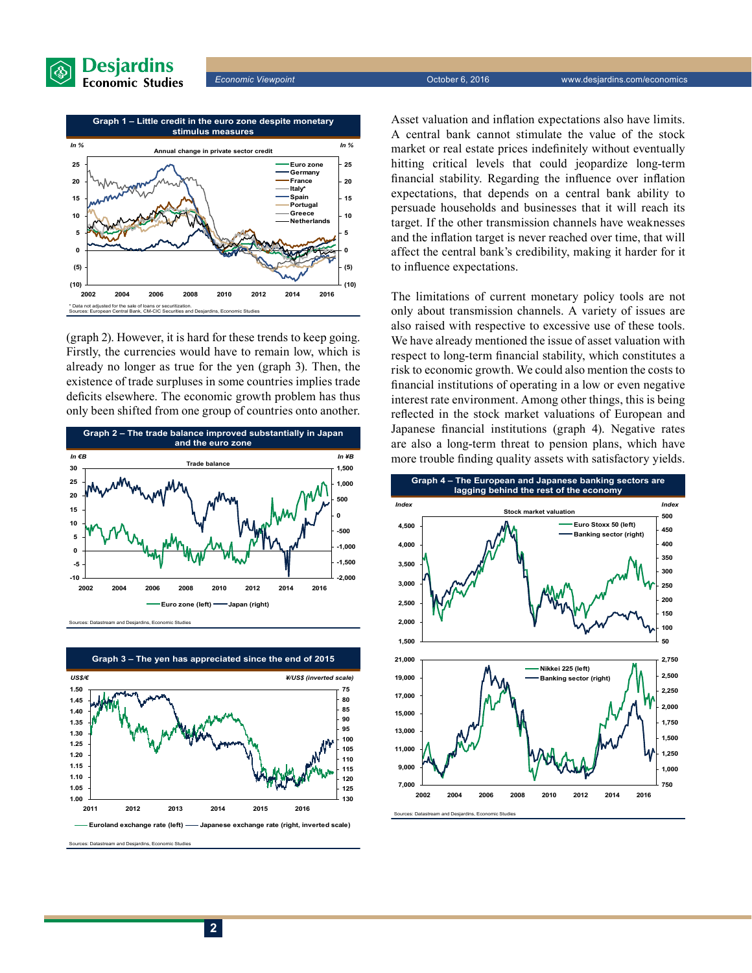



(graph 2). However, it is hard for these trends to keep going. Firstly, the currencies would have to remain low, which is already no longer as true for the yen (graph 3). Then, the existence of trade surpluses in some countries implies trade deficits elsewhere. The economic growth problem has thus only been shifted from one group of countries onto another.



Sources: Datastream and Desjardins, Economic Studies



**Euroland exchange rate (left) Japanese exchange rate (right, inverted scale)**

Sources: Datastream and Desjardins, Economic Studies

Asset valuation and inflation expectations also have limits. A central bank cannot stimulate the value of the stock market or real estate prices indefinitely without eventually hitting critical levels that could jeopardize long-term financial stability. Regarding the influence over inflation expectations, that depends on a central bank ability to persuade households and businesses that it will reach its target. If the other transmission channels have weaknesses and the inflation target is never reached over time, that will affect the central bank's credibility, making it harder for it to influence expectations.

The limitations of current monetary policy tools are not only about transmission channels. A variety of issues are also raised with respective to excessive use of these tools. We have already mentioned the issue of asset valuation with respect to long-term financial stability, which constitutes a risk to economic growth. We could also mention the costs to financial institutions of operating in a low or even negative interest rate environment. Among other things, this is being reflected in the stock market valuations of European and Japanese financial institutions (graph 4). Negative rates are also a long-term threat to pension plans, which have more trouble finding quality assets with satisfactory yields.



Sources: Datastream and Desjardins, Economic Studies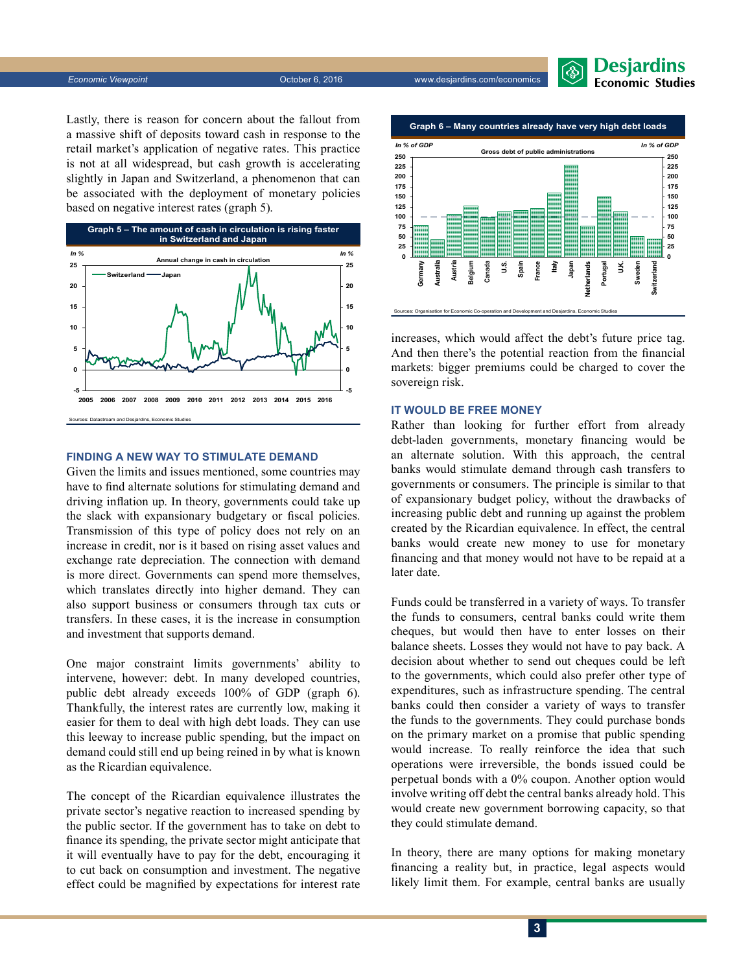*Economic Viewpoint* October 6, 2016 www.desjardins.com/economics



Lastly, there is reason for concern about the fallout from a massive shift of deposits toward cash in response to the retail market's application of negative rates. This practice is not at all widespread, but cash growth is accelerating slightly in Japan and Switzerland, a phenomenon that can be associated with the deployment of monetary policies based on negative interest rates (graph 5).



#### **FINDING A NEW WAY TO STIMULATE DEMAND**

Given the limits and issues mentioned, some countries may have to find alternate solutions for stimulating demand and driving inflation up. In theory, governments could take up the slack with expansionary budgetary or fiscal policies. Transmission of this type of policy does not rely on an increase in credit, nor is it based on rising asset values and exchange rate depreciation. The connection with demand is more direct. Governments can spend more themselves, which translates directly into higher demand. They can also support business or consumers through tax cuts or transfers. In these cases, it is the increase in consumption and investment that supports demand.

One major constraint limits governments' ability to intervene, however: debt. In many developed countries, public debt already exceeds 100% of GDP (graph 6). Thankfully, the interest rates are currently low, making it easier for them to deal with high debt loads. They can use this leeway to increase public spending, but the impact on demand could still end up being reined in by what is known as the Ricardian equivalence.

The concept of the Ricardian equivalence illustrates the private sector's negative reaction to increased spending by the public sector. If the government has to take on debt to finance its spending, the private sector might anticipate that it will eventually have to pay for the debt, encouraging it to cut back on consumption and investment. The negative effect could be magnified by expectations for interest rate



increases, which would affect the debt's future price tag. And then there's the potential reaction from the financial markets: bigger premiums could be charged to cover the sovereign risk.

#### **IT WOULD BE FREE MONEY**

Rather than looking for further effort from already debt-laden governments, monetary financing would be an alternate solution. With this approach, the central banks would stimulate demand through cash transfers to governments or consumers. The principle is similar to that of expansionary budget policy, without the drawbacks of increasing public debt and running up against the problem created by the Ricardian equivalence. In effect, the central banks would create new money to use for monetary financing and that money would not have to be repaid at a later date.

Funds could be transferred in a variety of ways. To transfer the funds to consumers, central banks could write them cheques, but would then have to enter losses on their balance sheets. Losses they would not have to pay back. A decision about whether to send out cheques could be left to the governments, which could also prefer other type of expenditures, such as infrastructure spending. The central banks could then consider a variety of ways to transfer the funds to the governments. They could purchase bonds on the primary market on a promise that public spending would increase. To really reinforce the idea that such operations were irreversible, the bonds issued could be perpetual bonds with a 0% coupon. Another option would involve writing off debt the central banks already hold. This would create new government borrowing capacity, so that they could stimulate demand.

In theory, there are many options for making monetary financing a reality but, in practice, legal aspects would likely limit them. For example, central banks are usually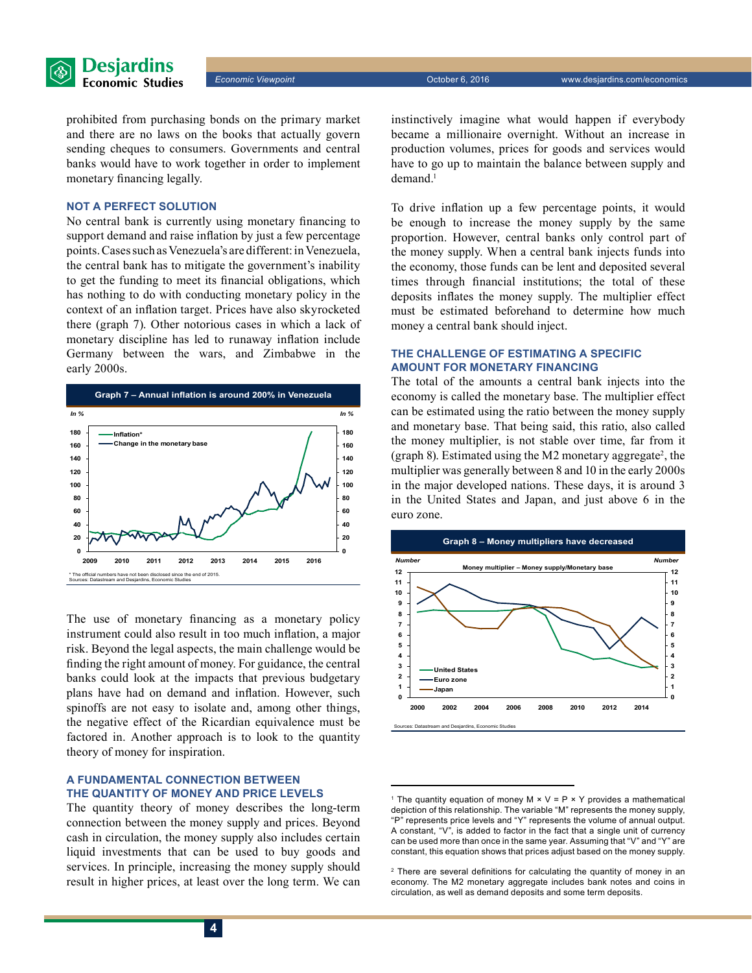

prohibited from purchasing bonds on the primary market and there are no laws on the books that actually govern sending cheques to consumers. Governments and central banks would have to work together in order to implement monetary financing legally.

#### **NOT A PERFECT SOLUTION**

No central bank is currently using monetary financing to support demand and raise inflation by just a few percentage points. Cases such as Venezuela's are different: in Venezuela, the central bank has to mitigate the government's inability to get the funding to meet its financial obligations, which has nothing to do with conducting monetary policy in the context of an inflation target. Prices have also skyrocketed there (graph 7). Other notorious cases in which a lack of monetary discipline has led to runaway inflation include Germany between the wars, and Zimbabwe in the early 2000s.



The use of monetary financing as a monetary policy instrument could also result in too much inflation, a major risk. Beyond the legal aspects, the main challenge would be finding the right amount of money. For guidance, the central banks could look at the impacts that previous budgetary plans have had on demand and inflation. However, such spinoffs are not easy to isolate and, among other things, the negative effect of the Ricardian equivalence must be factored in. Another approach is to look to the quantity theory of money for inspiration.

#### **A FUNDAMENTAL CONNECTION BETWEEN THE QUANTITY OF MONEY AND PRICE LEVELS**

The quantity theory of money describes the long-term connection between the money supply and prices. Beyond cash in circulation, the money supply also includes certain liquid investments that can be used to buy goods and services. In principle, increasing the money supply should result in higher prices, at least over the long term. We can instinctively imagine what would happen if everybody became a millionaire overnight. Without an increase in production volumes, prices for goods and services would have to go up to maintain the balance between supply and demand.<sup>1</sup>

To drive inflation up a few percentage points, it would be enough to increase the money supply by the same proportion. However, central banks only control part of the money supply. When a central bank injects funds into the economy, those funds can be lent and deposited several times through financial institutions; the total of these deposits inflates the money supply. The multiplier effect must be estimated beforehand to determine how much money a central bank should inject.

#### **THE CHALLENGE OF ESTIMATING A SPECIFIC AMOUNT FOR MONETARY FINANCING**

The total of the amounts a central bank injects into the economy is called the monetary base. The multiplier effect can be estimated using the ratio between the money supply and monetary base. That being said, this ratio, also called the money multiplier, is not stable over time, far from it (graph 8). Estimated using the M2 monetary aggregate<sup>2</sup>, the multiplier was generally between 8 and 10 in the early 2000s in the major developed nations. These days, it is around 3 in the United States and Japan, and just above 6 in the euro zone.



<sup>&</sup>lt;sup>1</sup> The quantity equation of money M  $\times$  V = P  $\times$  Y provides a mathematical depiction of this relationship. The variable "M" represents the money supply, "P" represents price levels and "Y" represents the volume of annual output. A constant, "V", is added to factor in the fact that a single unit of currency can be used more than once in the same year. Assuming that "V" and "Y" are constant, this equation shows that prices adjust based on the money supply.

<sup>&</sup>lt;sup>2</sup> There are several definitions for calculating the quantity of money in an economy. The M2 monetary aggregate includes bank notes and coins in circulation, as well as demand deposits and some term deposits.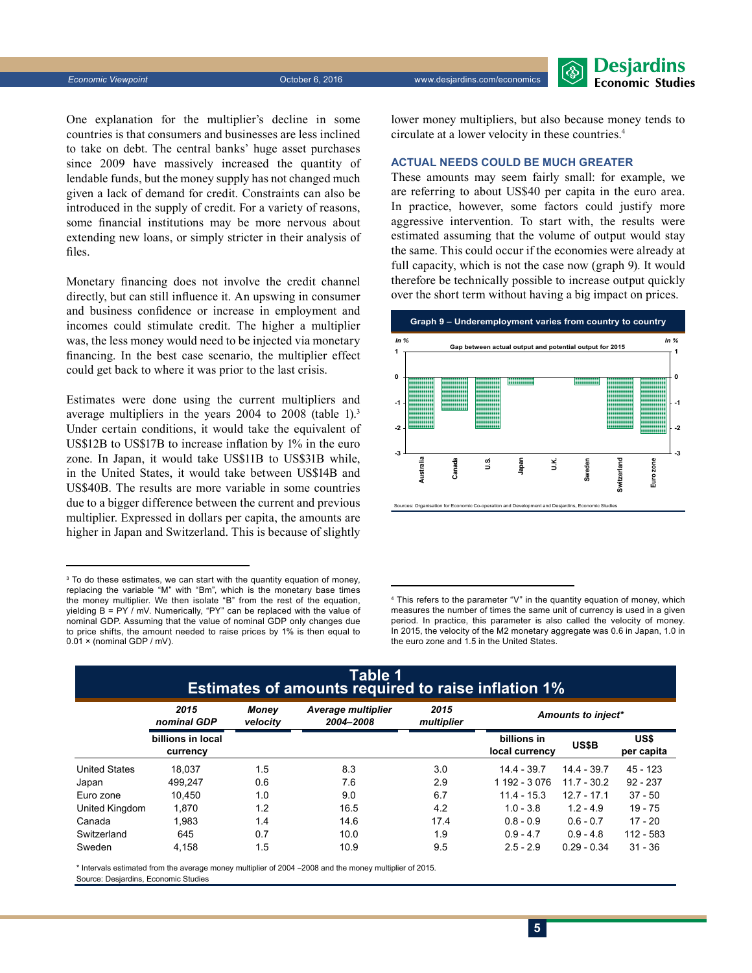*Economic Viewpoint* October 6, 2016 www.desjardins.com/economics



One explanation for the multiplier's decline in some countries is that consumers and businesses are less inclined to take on debt. The central banks' huge asset purchases since 2009 have massively increased the quantity of lendable funds, but the money supply has not changed much given a lack of demand for credit. Constraints can also be introduced in the supply of credit. For a variety of reasons, some financial institutions may be more nervous about extending new loans, or simply stricter in their analysis of files.

Monetary financing does not involve the credit channel directly, but can still influence it. An upswing in consumer and business confidence or increase in employment and incomes could stimulate credit. The higher a multiplier was, the less money would need to be injected via monetary financing. In the best case scenario, the multiplier effect could get back to where it was prior to the last crisis.

Estimates were done using the current multipliers and average multipliers in the years 2004 to 2008 (table 1).3 Under certain conditions, it would take the equivalent of US\$12B to US\$17B to increase inflation by 1% in the euro zone. In Japan, it would take US\$11B to US\$31B while, in the United States, it would take between US\$14B and US\$40B. The results are more variable in some countries due to a bigger difference between the current and previous multiplier. Expressed in dollars per capita, the amounts are higher in Japan and Switzerland. This is because of slightly

lower money multipliers, but also because money tends to circulate at a lower velocity in these countries.4

#### **ACTUAL NEEDS COULD BE MUCH GREATER**

These amounts may seem fairly small: for example, we are referring to about US\$40 per capita in the euro area. In practice, however, some factors could justify more aggressive intervention. To start with, the results were estimated assuming that the volume of output would stay the same. This could occur if the economies were already at full capacity, which is not the case now (graph 9). It would therefore be technically possible to increase output quickly over the short term without having a big impact on prices.



4 This refers to the parameter "V" in the quantity equation of money, which measures the number of times the same unit of currency is used in a given period. In practice, this parameter is also called the velocity of money. In 2015, the velocity of the M2 monetary aggregate was 0.6 in Japan, 1.0 in the euro zone and 1.5 in the United States.

### **Table 1 Estimates of amounts required to raise inflation 1%**

|                      | 2015<br>nominal GDP           | Money<br>velocity | <b>Average multiplier</b><br>2004-2008 | 2015<br>multiplier | Amounts to inject*            |               |                    |
|----------------------|-------------------------------|-------------------|----------------------------------------|--------------------|-------------------------------|---------------|--------------------|
|                      | billions in local<br>currency |                   |                                        |                    | billions in<br>local currency | US\$B         | US\$<br>per capita |
| <b>United States</b> | 18.037                        | 1.5               | 8.3                                    | 3.0                | 14.4 - 39.7                   | $14.4 - 39.7$ | $45 - 123$         |
| Japan                | 499.247                       | 0.6               | 7.6                                    | 2.9                | 1 192 - 3 076                 | $11.7 - 30.2$ | $92 - 237$         |
| Euro zone            | 10.450                        | 1.0               | 9.0                                    | 6.7                | $11.4 - 15.3$                 | $12.7 - 17.1$ | $37 - 50$          |
| United Kingdom       | 1.870                         | 1.2               | 16.5                                   | 4.2                | $1.0 - 3.8$                   | $1.2 - 4.9$   | $19 - 75$          |
| Canada               | 1.983                         | 1.4               | 14.6                                   | 17.4               | $0.8 - 0.9$                   | $0.6 - 0.7$   | 17 - 20            |
| Switzerland          | 645                           | 0.7               | 10.0                                   | 1.9                | $0.9 - 4.7$                   | $0.9 - 4.8$   | 112 - 583          |
| Sweden               | 4,158                         | 1.5               | 10.9                                   | 9.5                | $2.5 - 2.9$                   | $0.29 - 0.34$ | $31 - 36$          |

\* Intervals estimated from the average money multiplier of 2004 –2008 and the money multiplier of 2015. Source: Desjardins, Economic Studies

<sup>3</sup> To do these estimates, we can start with the quantity equation of money, replacing the variable "M" with "Bm", which is the monetary base times the money multiplier. We then isolate "B" from the rest of the equation, yielding  $B = PY / mV$ . Numerically, "PY" can be replaced with the value of nominal GDP. Assuming that the value of nominal GDP only changes due to price shifts, the amount needed to raise prices by 1% is then equal to 0.01 x (nominal GDP / mV).